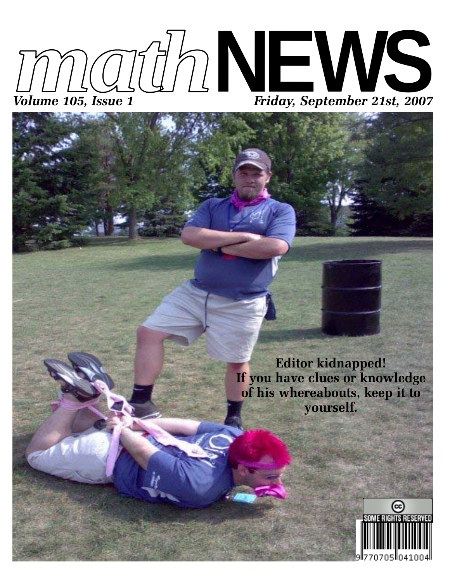



**Editor kidnapped! If you have clues or knowledge of his whereabouts, keep it to yourself.**

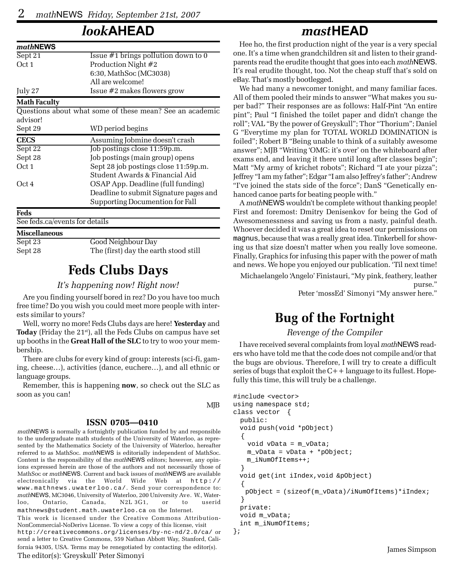### *look***AHEAD**

| mathNEWS                       |                                                          |
|--------------------------------|----------------------------------------------------------|
| Sept 21                        | Issue $#1$ brings pollution down to 0                    |
| Oct 1                          | Production Night #2                                      |
|                                | 6:30, MathSoc (MC3038)                                   |
|                                | All are welcome!                                         |
| July 27                        | Issue #2 makes flowers grow                              |
| <b>Math Faculty</b>            |                                                          |
|                                | Questions about what some of these mean? See an academic |
| advisor!                       |                                                          |
| Sept 29                        | WD period begins                                         |
| <b>CECS</b>                    | Assuming Jobmine doesn't crash                           |
| Sept 22                        | Job postings close 11:59p.m.                             |
| Sept 28                        | Job postings (main group) opens                          |
| Oct 1                          | Sept 28 job postings close 11:59p.m.                     |
|                                | Student Awards & Financial Aid                           |
| Oct 4                          | OSAP App. Deadline (full funding)                        |
|                                | Deadline to submit Signature pages and                   |
|                                | Supporting Documention for Fall                          |
| Feds                           |                                                          |
| See feds.ca/events for details |                                                          |
| <b>Miscellaneous</b>           |                                                          |
| Sept 23                        | Good Neighbour Day                                       |
| Sept 28                        | The (first) day the earth stood still                    |

### **Feds Clubs Days**

#### *It's happening now! Right now!*

Are you finding yourself bored in rez? Do you have too much free time? Do you wish you could meet more people with interests similar to yours?

Well, worry no more! Feds Clubs days are here! **Yesterday** and Today (Friday the 21<sup>st</sup>), all the Feds Clubs on campus have set up booths in the **Great Hall of the SLC** to try to woo your membership.

There are clubs for every kind of group: interests (sci-fi, gaming, cheese…), activities (dance, euchere…), and all ethnic or language groups.

Remember, this is happening **now**, so check out the SLC as soon as you can!

#### MJB

#### **ISSN 0705—0410**

*math*NEWS is normally a fortnightly publication funded by and responsible to the undergraduate math students of the University of Waterloo, as represented by the Mathematics Society of the University of Waterloo, hereafter referred to as MathSoc. *math*NEWS is editorially independent of MathSoc. Content is the responsibility of the *math*NEWS editors; however, any opinions expressed herein are those of the authors and not necessarily those of MathSoc or *math*NEWS. Current and back issues of *math*NEWS are available electronically via the World Wide Web at http:// www.mathnews.uwaterloo.ca/. Send your correspondence to: *math*NEWS, MC3046, University of Waterloo, 200 University Ave. W., Waterloo, Ontario, Canada, N2L 3G1, or to userid mathnews@student.math.uwaterloo.ca on the Internet. This work is licensed under the Creative Commons Attribution-

NonCommercial-NoDerivs License. To view a copy of this license, visit http://creativecommons.org/licenses/by-nc-nd/2.0/ca/ or send a letter to Creative Commons, 559 Nathan Abbott Way, Stanford, California 94305, USA. Terms may be renegotiated by contacting the editor(s). The editor(s): 'Greyskull' Peter Simonyi

### *mast***HEAD**

Hee ho, the first production night of the year is a very special one. It's a time when grandchildren sit and listen to their grandparents read the erudite thought that goes into each *math*NEWS. It's real erudite thought, too. Not the cheap stuff that's sold on eBay. That's mostly bootlegged.

We had many a newcomer tonight, and many familiar faces. All of them pooled their minds to answer "What makes you super bad?" Their responses are as follows: Half-Pint "An entire pint"; Paul "I finished the toilet paper and didn't change the roll"; VAL "By the power of Greyskull"; Thor "Thorium"; Daniel G "Everytime my plan for TOTAL WORLD DOMINATION is foiled"; Robert B "Being unable to think of a suitably awesome answer"; MJB "Writing 'OMG: it's over' on the whiteboard after exams end, and leaving it there until long after classes begin"; Matt "My army of krichet robots"; Richard "I ate your pizza"; Jeffrey "I am my father"; Edgar "I am also Jeffrey's father"; Andrew "I've joined the stats side of the force"; DanS "Genetically enhanced canoe parts for beating people with."

A *math*NEWS wouldn't be complete without thanking people! First and foremost: Dmitry Denisenkov for being the God of Awesomenessness and saving us from a nasty, painful death. Whoever decided it was a great idea to reset our permissions on magnus, because that was a really great idea. Tinkerbell for showing us that size doesn't matter when you really love someone. Finally, Graphics for infusing this paper with the power of math and news. We hope you enjoyed our publication. 'Til next time!

Michaelangelo 'Angelo' Finistauri, "My pink, feathery, leather purse."

Peter 'mossEd' Simonyi "My answer here."

# **Bug of the Fortnight**

#### *Revenge of the Compiler*

I have received several complaints from loyal *math*NEWS readers who have told me that the code does not compile and/or that the bugs are obvious. Therefore, I will try to create a difficult series of bugs that exploit the  $C++$  language to its fullest. Hopefully this time, this will truly be a challenge.

```
#include <vector>
using namespace std;
class vector {
  public:
  void push(void *pObject)
   {
     void vData = m_vData;
     m_vData = vData + *pObject;
    m_iNumOfItems++;
   }
  void get(int iIndex,void &pObject)
   {
    pObject = (sizeof(m_vData)/iNumOfItems)*iIndex;
   }
  private:
  void m_vData;
 int m_iNumOfItems;
};
```
James Simpson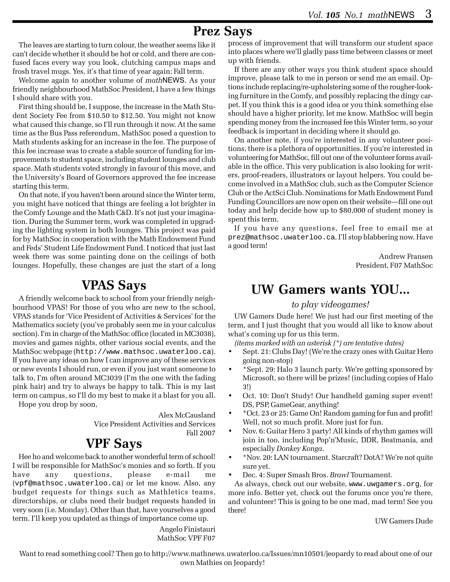### **Prez Says**

The leaves are starting to turn colour, the weather seems like it can't decide whether it should be hot or cold, and there are confused faces every way you look, clutching campus maps and frosh travel mugs. Yes, it's that time of year again: Fall term.

Welcome again to another volume of *math*NEWS. As your friendly neighbourhood MathSoc President, I have a few things I should share with you.

First thing should be, I suppose, the increase in the Math Student Society Fee from \$10.50 to \$12.50. You might not know what caused this change, so I'll run through it now. At the same time as the Bus Pass referendum, MathSoc posed a question to Math students asking for an increase in the fee. The purpose of this fee increase was to create a stable source of funding for improvements to student space, including student lounges and club space. Math students voted strongly in favour of this move, and the University's Board of Governors approved the fee increase starting this term.

On that note, if you haven't been around since the Winter term, you might have noticed that things are feeling a lot brighter in the Comfy Lounge and the Math C&D. It's not just your imagination. During the Summer term, work was completed in upgrading the lighting system in both lounges. This project was paid for by MathSoc in cooperation with the Math Endowment Fund and Feds' Student Life Endowment Fund. I noticed that just last week there was some painting done on the ceilings of both lounges. Hopefully, these changes are just the start of a long

### **VPAS Says**

A friendly welcome back to school from your friendly neighbourhood VPAS! For those of you who are new to the school, VPAS stands for 'Vice President of Activities & Services' for the Mathematics society (you've probably seen me in your calculus section). I'm in charge of the MathSoc office (located in MC3038), movies and games nights, other various social events, and the MathSoc webpage (http://www.mathsoc.uwaterloo.ca). If you have any ideas on how I can improve any of these services or new events I should run, or even if you just want someone to talk to, I'm often around MC3039 (I'm the one with the fading pink hair) and try to always be happy to talk. This is my last term on campus, so I'll do my best to make it a blast for you all.

Hope you drop by soon,

Alex McCausland

Vice President Activities and Services Fall 2007

### **VPF Says**

Hee ho and welcome back to another wonderful term of school! I will be responsible for MathSoc's monies and so forth. If you have any questions, please e-mail me (vpf@mathsoc.uwaterloo.ca) or let me know. Also, any budget requests for things such as Mathletics teams, directorships, or clubs need their budget requests handed in very soon (i.e. Monday). Other than that, have yourselves a good term. I'll keep you updated as things of importance come up.

> Angelo Finistauri MathSoc VPF F07

process of improvement that will transform our student space into places where we'll gladly pass time between classes or meet up with friends.

If there are any other ways you think student space should improve, please talk to me in person or send me an email. Options include replacing/re-upholstering some of the rougher-looking furniture in the Comfy, and possibly replacing the dingy carpet. If you think this is a good idea or you think something else should have a higher priority, let me know. MathSoc will begin spending money from the increased fee this Winter term, so your feedback is important in deciding where it should go.

On another note, if you're interested in any volunteer positions, there is a plethora of opportunities. If you're interested in volunteering for MathSoc, fill out one of the volunteer forms available in the office. This very publication is also looking for writers, proof-readers, illustrators or layout helpers. You could become involved in a MathSoc club, such as the Computer Science Club or the ActSci Club. Nominations for Math Endowment Fund Funding Councillors are now open on their website—fill one out today and help decide how up to \$80,000 of student money is spent this term.

If you have any questions, feel free to email me at prez@mathsoc.uwaterloo.ca. I'll stop blabbering now. Have a good term!

> Andrew Fransen President, F07 MathSoc

### **UW Gamers wants YOU...**

#### *to play videogames!*

UW Gamers Dude here! We just had our first meeting of the term, and I just thought that you would all like to know about what's coming up for us this term.

*(items marked with an asterisk (\*) are tentative dates)*

- Sept. 21: Clubs Day! (We're the crazy ones with Guitar Hero going non-stop)
- \*Sept. 29: Halo 3 launch party. We're getting sponsored by Microsoft, so there will be prizes! (including copies of Halo 3!)
- Oct. 10: Don't Study! Our handheld gaming super event! DS, PSP, GameGear, anything!
- \*Oct. 23 or 25: Game On! Random gaming for fun and profit! Well, not so much profit. More just for fun.
- Nov. 6: Guitar Hero 3 party! All kinds of rhythm games will join in too, including Pop'n'Music, DDR, Beatmania, and especially *Donkey Konga*.
- \*Nov. 20: LAN tournament. Starcraft? DotA? We're not quite sure yet.

• Dec. 4: Super Smash Bros. *Brawl* Tournament.

As always, check out our website, www.uwgamers.org, for more info. Better yet, check out the forums once you're there, and volunteer! This is going to be one mad, mad term! See you there!

#### UW Gamers Dude

Want to read something cool? Then go to http://www.mathnews.uwaterloo.ca/Issues/mn10501/jeopardy to read about one of our own Mathies on Jeopardy!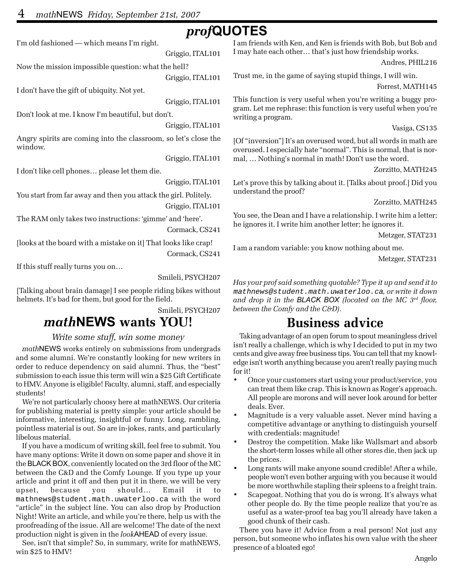### *prof***QUOTES**

I'm old fashioned — which means I'm right.

Griggio, ITAL101

Now the mission impossible question: what the hell?

Griggio, ITAL101

I don't have the gift of ubiquity. Not yet.

Griggio, ITAL101

Don't look at me. I know I'm beautiful, but don't.

Griggio, ITAL101

Angry spirits are coming into the classroom, so let's close the window.

Griggio, ITAL101

I don't like cell phones… please let them die.

Griggio, ITAL101

You start from far away and then you attack the girl. Politely.

Griggio, ITAL101

The RAM only takes two instructions: 'gimme' and 'here'.

Cormack, CS241

[looks at the board with a mistake on it] That looks like crap!

Cormack, CS241

If this stuff really turns you on…

Smileli, PSYCH207

[Talking about brain damage] I see people riding bikes without helmets. It's bad for them, but good for the field.

Smileli, PSYCH207

### *math***NEWS wants YOU!**

#### *Write some stuff, win some money*

*math*NEWS works entirely on submissions from undergrads and some alumni. We're constantly looking for new writers in order to reduce dependency on said alumni. Thus, the "best" submission to each issue this term will win a \$25 Gift Certificate to HMV. Anyone is eligible! Faculty, alumni, staff, and especially students!

We're not particularly choosy here at mathNEWS. Our criteria for publishing material is pretty simple: your article should be informative, interesting, insightful or funny. Long, rambling, pointless material is out. So are in-jokes, rants, and particularly libelous material.

If you have a modicum of writing skill, feel free to submit. You have many options: Write it down on some paper and shove it in the BLACK BOX, conveniently located on the 3rd floor of the MC between the C&D and the Comfy Lounge. If you type up your article and print it off and then put it in there, we will be very upset, because you should… Email it to mathnews@student.math.uwaterloo.ca with the word "article" in the subject line. You can also drop by Production Night! Write an article, and while you're there, help us with the proofreading of the issue. All are welcome! The date of the next production night is given in the *look*AHEAD of every issue.

See, isn't that simple? So, in summary, write for mathNEWS, win \$25 to HMV!

I am friends with Ken, and Ken is friends with Bob, but Bob and I may hate each other… that's just how friendship works.

Andres, PHIL216

Trust me, in the game of saying stupid things, I will win.

Forrest, MATH145

This function is very useful when you're writing a buggy program. Let me rephrase: this function is very useful when you're writing a program.

Vasiga, CS135

[Of "inversion"] It's an overused word, but all words in math are overused. I especially hate "normal". This is normal, that is normal, … Nothing's normal in math! Don't use the word.

Zorzitto, MATH245

Let's prove this by talking about it. [Talks about proof.] Did you understand the proof?

Zorzitto, MATH245

You see, the Dean and I have a relationship. I write him a letter; he ignores it. I write him another letter; he ignores it.

Metzger, STAT231

I am a random variable: you know nothing about me.

Metzger, STAT231

*Has your prof said something quotable? Type it up and send it to* mathnews@student.math.uwaterloo.ca*, or write it down and drop it in the BLACK BOX (located on the MC 3rd floor, between the Comfy and the C&D).*

### **Business advice**

Taking advantage of an open forum to spout meaningless drivel isn't really a challenge, which is why I decided to put in my two cents and give away free business tips. You can tell that my knowledge isn't worth anything because you aren't really paying much for it!

- Once your customers start using your product/service, you can treat them like crap. This is known as Roger's approach. All people are morons and will never look around for better deals. Ever.
- Magnitude is a very valuable asset. Never mind having a competitive advantage or anything to distinguish yourself with credentials: magnitude!
- Destroy the competition. Make like Wallsmart and absorb the short-term losses while all other stores die, then jack up the prices.
- Long rants will make anyone sound credible! After a while, people won't even bother arguing with you because it would be more worthwhile stapling their spleens to a freight train.
- Scapegoat. Nothing that you do is wrong. It's always what other people do. By the time people realize that you're as useful as a water-proof tea bag you'll already have taken a good chunk of their cash.

There you have it! Advice from a real person! Not just any person, but someone who inflates his own value with the sheer presence of a bloated ego!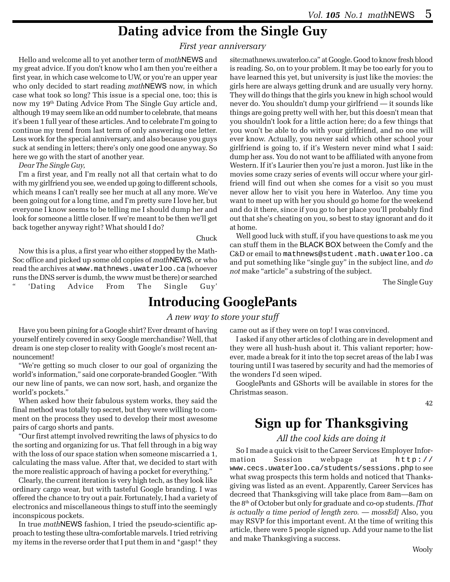### **Dating advice from the Single Guy**

#### *First year anniversary*

Hello and welcome all to yet another term of *math*NEWS and my great advice. If you don't know who I am then you're either a first year, in which case welcome to UW, or you're an upper year who only decided to start reading *math*NEWS now, in which case what took so long? This issue is a special one, too; this is now my 19th Dating Advice From The Single Guy article and, although 19 may seem like an odd number to celebrate, that means it's been 1 full year of these articles. And to celebrate I'm going to continue my trend from last term of only answering one letter. Less work for the special anniversary, and also because you guys suck at sending in letters; there's only one good one anyway. So here we go with the start of another year.

*Dear The Single Guy,*

I'm a first year, and I'm really not all that certain what to do with my girlfriend you see, we ended up going to different schools, which means I can't really see her much at all any more. We've been going out for a long time, and I'm pretty sure I love her, but everyone I know seems to be telling me I should dump her and look for someone a little closer. If we're meant to be then we'll get back together anyway right? What should I do?

Chuck

Now this is a plus, a first year who either stopped by the Math-Soc office and picked up some old copies of *math*NEWS, or who read the archives at www.mathnews.uwaterloo.ca (whoever runs the DNS server is dumb, the www must be there) or searched 'Dating Advice From The Single Guy'

site:mathnews.uwaterloo.ca" at Google. Good to know fresh blood is reading. So, on to your problem. It may be too early for you to have learned this yet, but university is just like the movies: the girls here are always getting drunk and are usually very horny. They will do things that the girls you knew in high school would never do. You shouldn't dump your girlfriend — it sounds like things are going pretty well with her, but this doesn't mean that you shouldn't look for a little action here; do a few things that you won't be able to do with your girlfriend, and no one will ever know. Actually, you never said which other school your girlfriend is going to, if it's Western never mind what I said: dump her ass. You do not want to be affiliated with anyone from Western. If it's Laurier then you're just a moron. Just like in the movies some crazy series of events will occur where your girlfriend will find out when she comes for a visit so you must never allow her to visit you here in Waterloo. Any time you want to meet up with her you should go home for the weekend and do it there, since if you go to her place you'll probably find out that she's cheating on you, so best to stay ignorant and do it at home.

Well good luck with stuff, if you have questions to ask me you can stuff them in the BLACK BOX between the Comfy and the C&D or email to mathnews@student.math.uwaterloo.ca and put something like "single guy" in the subject line, and *do not* make "article" a substring of the subject.

The Single Guy

### **Introducing GooglePants**

#### *A new way to store your stuff*

Have you been pining for a Google shirt? Ever dreamt of having yourself entirely covered in sexy Google merchandise? Well, that dream is one step closer to reality with Google's most recent announcement!

"We're getting so much closer to our goal of organizing the world's information," said one corporate-branded Googler. "With our new line of pants, we can now sort, hash, and organize the world's pockets."

When asked how their fabulous system works, they said the final method was totally top secret, but they were willing to comment on the process they used to develop their most awesome pairs of cargo shorts and pants.

"Our first attempt involved rewriting the laws of physics to do the sorting and organizing for us. That fell through in a big way with the loss of our space station when someone miscarried a 1, calculating the mass value. After that, we decided to start with the more realistic approach of having a pocket for everything."

Clearly, the current iteration is very high tech, as they look like ordinary cargo wear, but with tasteful Google branding. I was offered the chance to try out a pair. Fortunately, I had a variety of electronics and miscellaneous things to stuff into the seemingly inconspicous pockets.

In true *math*NEWS fashion, I tried the pseudo-scientific approach to testing these ultra-comfortable marvels. I tried retriving my items in the reverse order that I put them in and \*gasp!\* they came out as if they were on top! I was convinced.

I asked if any other articles of clothing are in development and they were all hush-hush about it. This valiant reporter; however, made a break for it into the top secret areas of the lab I was touring until I was tasered by security and had the memories of the wonders I'd seen wiped.

GooglePants and GShorts will be available in stores for the Christmas season.

42

### **Sign up for Thanksgiving**

#### *All the cool kids are doing it*

So I made a quick visit to the Career Services Employer Information Session webpage at http:// www.cecs.uwaterloo.ca/students/sessions.php to see what swag prospects this term holds and noticed that Thanksgiving was listed as an event. Apparently, Career Services has decreed that Thanksgiving will take place from 8am—8am on the 8th of October but only for graduate and co-op students. *[That is actually a time period of length zero. — mossEd]* Also, you may RSVP for this important event. At the time of writing this article, there were 5 people signed up. Add your name to the list and make Thanksgiving a success.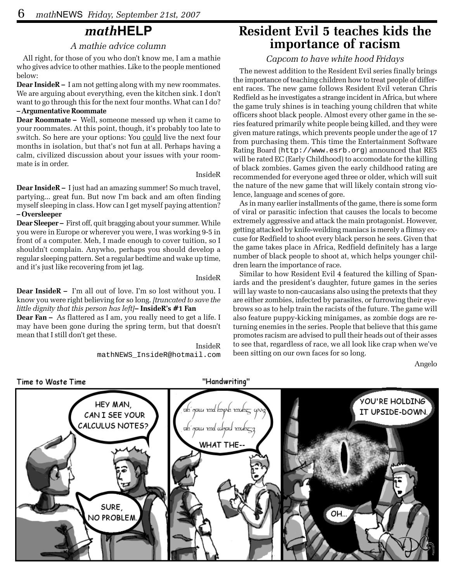# *math***HELP**

#### *A mathie advice column*

All right, for those of you who don't know me, I am a mathie who gives advice to other mathies. Like to the people mentioned below:

**Dear InsideR –** I am not getting along with my new roommates. We are arguing about everything, even the kitchen sink. I don't want to go through this for the next four months. What can I do? **– Argumentative Roommate**

#### **Dear Roommate –** Well, someone messed up when it came to your roommates. At this point, though, it's probably too late to switch. So here are your options: You could live the next four months in isolation, but that's not fun at all. Perhaps having a calm, civilized discussion about your issues with your roommate is in order.

#### InsideR

**Dear InsideR –** I just had an amazing summer! So much travel, partying... great fun. But now I'm back and am often finding myself sleeping in class. How can I get myself paying attention? **– Oversleeper**

**Dear Sleeper –** First off, quit bragging about your summer. While you were in Europe or wherever you were, I was working 9-5 in front of a computer. Meh, I made enough to cover tuition, so I shouldn't complain. Anywho, perhaps you should develop a regular sleeping pattern. Set a regular bedtime and wake up time, and it's just like recovering from jet lag.

#### InsideR

#### **Dear InsideR –** I'm all out of love. I'm so lost without you. I know you were right believing for so long. *[truncated to save the little dignity that this person has left]***– InsideR's #1 Fan**

**Dear Fan –** As flattered as I am, you really need to get a life. I may have been gone during the spring term, but that doesn't mean that I still don't get these.

> InsideR mathNEWS\_InsideR@hotmail.com

### **Resident Evil 5 teaches kids the importance of racism**

#### *Capcom to have white hood Fridays*

The newest addition to the Resident Evil series finally brings the importance of teaching children how to treat people of different races. The new game follows Resident Evil veteran Chris Redfield as he investigates a strange incident in Africa, but where the game truly shines is in teaching young children that white officers shoot black people. Almost every other game in the series featured primarily white people being killed, and they were given mature ratings, which prevents people under the age of 17 from purchasing them. This time the Entertainment Software Rating Board (http://www.esrb.org) announced that RE5 will be rated EC (Early Childhood) to accomodate for the killing of black zombies. Games given the early childhood rating are recommended for everyone aged three or older, which will suit the nature of the new game that will likely contain strong violence, language and scenes of gore.

As in many earlier installments of the game, there is some form of viral or parasitic infection that causes the locals to become extremely aggressive and attack the main protagonist. However, getting attacked by knife-weilding maniacs is merely a flimsy excuse for Redfield to shoot every black person he sees. Given that the game takes place in Africa, Redfield definitely has a large number of black people to shoot at, which helps younger children learn the importance of race.

Similar to how Resident Evil 4 featured the killing of Spaniards and the president's daughter, future games in the series will lay waste to non-caucasians also using the pretexts that they are either zombies, infected by parasites, or furrowing their eyebrows so as to help train the racists of the future. The game will also feature puppy-kicking minigames, as zombie dogs are returning enemies in the series. People that believe that this game promotes racism are advised to pull their heads out of their asses to see that, regardless of race, we all look like crap when we've been sitting on our own faces for so long.

Angelo

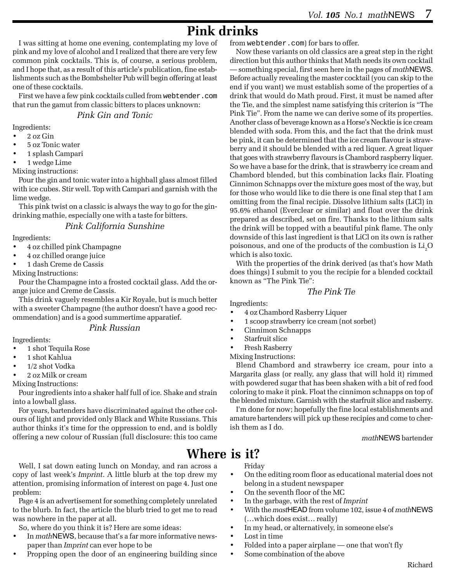# **Pink drinks**

I was sitting at home one evening, contemplating my love of pink and my love of alcohol and I realized that there are very few common pink cocktails. This is, of course, a serious problem, and I hope that, as a result of this article's publication, fine establishments such as the Bombshelter Pub will begin offering at least one of these cocktails.

First we have a few pink cocktails culled from webtender.com that run the gamut from classic bitters to places unknown:

#### *Pink Gin and Tonic*

Ingredients:

- 2 oz Gin
- 5 oz Tonic water
- 1 splash Campari
- 1 wedge Lime

Mixing instructions:

Pour the gin and tonic water into a highball glass almost filled with ice cubes. Stir well. Top with Campari and garnish with the lime wedge.

This pink twist on a classic is always the way to go for the gindrinking mathie, especially one with a taste for bitters.

#### *Pink California Sunshine*

Ingredients:

- 4 oz chilled pink Champagne
- 4 oz chilled orange juice
- 1 dash Creme de Cassis

Mixing Instructions:

Pour the Champagne into a frosted cocktail glass. Add the orange juice and Creme de Cassis.

This drink vaguely resembles a Kir Royale, but is much better with a sweeter Champagne (the author doesn't have a good recommendation) and is a good summertime apparatief.

#### *Pink Russian*

Ingredients:

- 1 shot Tequila Rose
- 1 shot Kahlua
- 1/2 shot Vodka
- 2 oz Milk or cream

Mixing Instructions:

Pour ingredients into a shaker half full of ice. Shake and strain into a lowball glass.

For years, bartenders have discriminated against the other colours of light and provided only Black and White Russians. This author thinks it's time for the oppression to end, and is boldly offering a new colour of Russian (full disclosure: this too came

Well, I sat down eating lunch on Monday, and ran across a copy of last week's *Imprint*. A little blurb at the top drew my attention, promising information of interest on page 4. Just one problem:

Page 4 is an advertisement for something completely unrelated to the blurb. In fact, the article the blurb tried to get me to read was nowhere in the paper at all.

So, where do you think it is? Here are some ideas:

- In *math*NEWS, because that's a far more informative newspaper than *Imprint* can ever hope to be
- Propping open the door of an engineering building since

from webtender.com) for bars to offer.

Now these variants on old classics are a great step in the right direction but this author thinks that Math needs its own cocktail — something special, first seen here in the pages of *math*NEWS. Before actually revealing the master cocktail (you can skip to the end if you want) we must establish some of the properties of a drink that would do Math proud. First, it must be named after the Tie, and the simplest name satisfying this criterion is "The Pink Tie". From the name we can derive some of its properties. Another class of beverage known as a Horse's Necktie is ice cream blended with soda. From this, and the fact that the drink must be pink, it can be determined that the ice cream flavour is strawberry and it should be blended with a red liquer. A great liquer that goes with strawberry flavours is Chambord raspberry liquer. So we have a base for the drink, that is strawberry ice cream and Chambord blended, but this combination lacks flair. Floating Cinnimon Schnapps over the mixture goes most of the way, but for those who would like to die there is one final step that I am omitting from the final recipie. Dissolve lithium salts (LiCl) in 95.6% ethanol (Everclear or similar) and float over the drink prepared as described, set on fire. Thanks to the lithium salts the drink will be topped with a beautiful pink flame. The only downside of this last ingredient is that LiCl on its own is rather poisonous, and one of the products of the combustion is  $\rm Li_2O$ which is also toxic.

With the properties of the drink derived (as that's how Math does things) I submit to you the recipie for a blended cocktail known as "The Pink Tie":

#### *The Pink Tie*

Ingredients:

- 4 oz Chambord Rasberry Liquer
- 1 scoop strawberry ice cream (not sorbet)
- Cinnimon Schnapps
- Starfruit slice
- Fresh Rasberry

Mixing Instructions:

Blend Chambord and strawberry ice cream, pour into a Margarita glass (or really, any glass that will hold it) rimmed with powdered sugar that has been shaken with a bit of red food coloring to make it pink. Float the cinnimon schnapps on top of the blended mixture. Garnish with the starfruit slice and rasberry.

I'm done for now; hopefully the fine local establishments and amature bartenders will pick up these recipies and come to cherish them as I do.

*math*NEWS bartender

### **Where is it?**

Friday

- On the editing room floor as educational material does not belong in a student newspaper
- On the seventh floor of the MC
- In the garbage, with the rest of *Imprint*
- With the *mast*HEAD from volume 102, issue 4 of *math*NEWS (…which does exist… really)
- In my head, or alternatively, in someone else's
- Lost in time
- Folded into a paper airplane one that won't fly
- Some combination of the above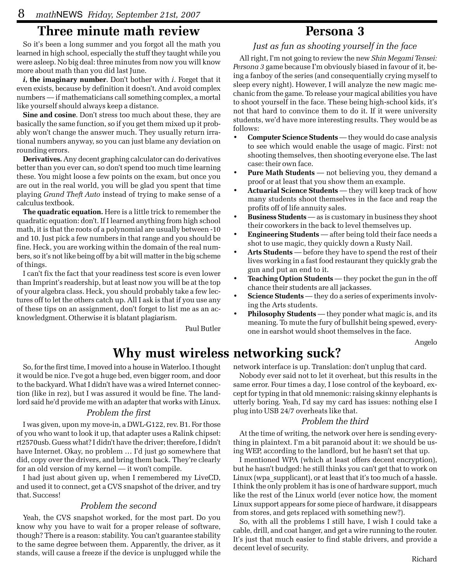### **Three minute math review**

So it's been a long summer and you forgot all the math you learned in high school, especially the stuff they taught while you were asleep. No big deal: three minutes from now you will know more about math than you did last June.

*i***, the imaginary number**. Don't bother with *i*. Forget that it even exists, because by definition it doesn't. And avoid complex numbers — if mathematicians call something complex, a mortal like yourself should always keep a distance.

**Sine and cosine**. Don't stress too much about these, they are basically the same function, so if you get them mixed up it probably won't change the answer much. They usually return irrational numbers anyway, so you can just blame any deviation on rounding errors.

**Derivatives.** Any decent graphing calculator can do derivatives better than you ever can, so don't spend too much time learning these. You might loose a few points on the exam, but once you are out in the real world, you will be glad you spent that time playing *Grand Theft Auto* instead of trying to make sense of a calculus textbook.

**The quadratic equation.** Here is a little trick to remember the quadratic equation: don't. If I learned anything from high school math, it is that the roots of a polynomial are usually between -10 and 10. Just pick a few numbers in that range and you should be fine. Heck, you are working within the domain of the real numbers, so it's not like being off by a bit will matter in the big scheme of things.

I can't fix the fact that your readiness test score is even lower than Imprint's readership, but at least now you will be at the top of your algebra class. Heck, you should probably take a few lectures off to let the others catch up. All I ask is that if you use any of these tips on an assignment, don't forget to list me as an acknowledgment. Otherwise it is blatant plagiarism.

Paul Butler

### **Persona 3**

#### *Just as fun as shooting yourself in the face*

All right, I'm not going to review the new *Shin Megami Tensei: Persona 3* game because I'm obviously biased in favour of it, being a fanboy of the series (and consequentially crying myself to sleep every night). However, I will analyze the new magic mechanic from the game. To release your magical abilities you have to shoot yourself in the face. These being high-school kids, it's not that hard to convince them to do it. If it were university students, we'd have more interesting results. They would be as follows:

- **Computer Science Students** they would do case analysis to see which would enable the usage of magic. First: not shooting themselves, then shooting everyone else. The last case: their own face.
- **Pure Math Students** not believing you, they demand a proof or at least that you show them an example.
- **Actuarial Science Students** they will keep track of how many students shoot themselves in the face and reap the profits off of life annuity sales.
- **Business Students** as is customary in business they shoot their coworkers in the back to level themselves up.
- **Engineering Students** after being told their face needs a shot to use magic, they quickly down a Rusty Nail.
- **Arts Students** before they have to spend the rest of their lives working in a fast food restaurant they quickly grab the gun and put an end to it.
- **Teaching Option Students** they pocket the gun in the off chance their students are all jackasses.
- **Science Students** they do a series of experiments involving the Arts students.
- **Philosophy Students** they ponder what magic is, and its meaning. To mute the fury of bullshit being spewed, everyone in earshot would shoot themselves in the face.

Angelo

# **Why must wireless networking suck?**

So, for the first time, I moved into a house in Waterloo. I thought it would be nice. I've got a huge bed, even bigger room, and door to the backyard. What I didn't have was a wired Internet connection (like in rez), but I was assured it would be fine. The landlord said he'd provide me with an adapter that works with Linux.

#### *Problem the first*

I was given, upon my move-in, a DWL-G122, rev. B1. For those of you who want to look it up, that adapter uses a Ralink chipset: rt2570usb. Guess what? I didn't have the driver; therefore, I didn't have Internet. Okay, no problem … I'd just go somewhere that did, copy over the drivers, and bring them back. They're clearly for an old version of my kernel — it won't compile.

I had just about given up, when I remembered my LiveCD, and used it to connect, get a CVS snapshot of the driver, and try that. Success!

#### *Problem the second*

Yeah, the CVS snapshot worked, for the most part. Do you know why you have to wait for a proper release of software, though? There is a reason: stability. You can't guarantee stability to the same degree between them. Apparently, the driver, as it stands, will cause a freeze if the device is unplugged while the

network interface is up. Translation: don't unplug that card.

Nobody ever said not to let it overheat, but this results in the same error. Four times a day, I lose control of the keyboard, except for typing in that old mnemonic: raising skinny elephants is utterly boring. Yeah, I'd say my card has issues: nothing else I plug into USB 24/7 overheats like that.

#### *Problem the third*

At the time of writing, the network over here is sending everything in plaintext. I'm a bit paranoid about it: we should be using WEP, according to the landlord, but he hasn't set that up.

I mentioned WPA (which at least offers decent encryption), but he hasn't budged: he still thinks you can't get that to work on Linux (wpa supplicant), or at least that it's too much of a hassle. I think the only problem it has is one of hardware support, much like the rest of the Linux world (ever notice how, the moment Linux support appears for some piece of hardware, it disappears from stores, and gets replaced with something new?).

So, with all the problems I still have, I wish I could take a cable, drill, and coat hanger, and get a wire running to the router. It's just that much easier to find stable drivers, and provide a decent level of security.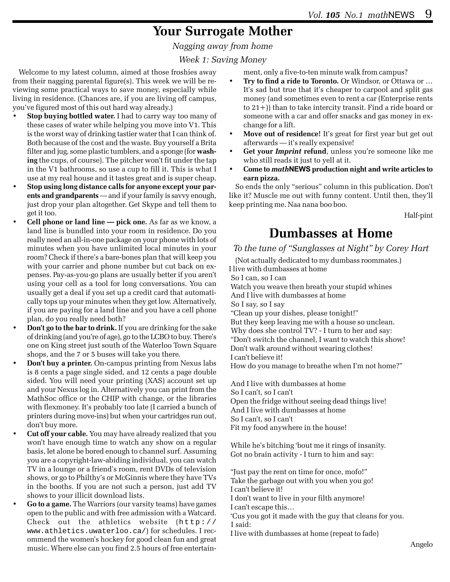# **Your Surrogate Mother**

*Nagging away from home*

#### *Week 1: Saving Money*

Welcome to my latest column, aimed at those froshies away from their nagging parental figure(s). This week we will be reviewing some practical ways to save money, especially while living in residence. (Chances are, if you are living off campus, you've figured most of this out hard way already.)

- **Stop buying bottled water.** I had to carry way too many of these cases of water while helping you move into V1. This is the worst way of drinking tastier water that I can think of. Both because of the cost and the waste. Buy yourself a Brita filter and jug, some plastic tumblers, and a sponge (for **washing** the cups, of course). The pitcher won't fit under the tap in the V1 bathrooms, so use a cup to fill it. This is what I use at my real house and it tastes great and is super cheap.
- **Stop using long distance calls for anyone except your parents and grandparents** — and if your family is savvy enough, just drop your plan altogether. Get Skype and tell them to get it too.
- **Cell phone or land line pick one.** As far as we know, a land line is bundled into your room in residence. Do you really need an all-in-one package on your phone with lots of minutes when you have unlimited local minutes in your room? Check if there's a bare-bones plan that will keep you with your carrier and phone number but cut back on expenses. Pay-as-you-go plans are usually better if you aren't using your cell as a tool for long conversations. You can usually get a deal if you set up a credit card that automatically tops up your minutes when they get low. Alternatively, if you are paying for a land line and you have a cell phone plan, do you really need both?
- **Don't go to the bar to drink.** If you are drinking for the sake of drinking (and you're of age), go to the LCBO to buy. There's one on King street just south of the Waterloo Town Square shops, and the 7 or 5 buses will take you there.
- **Don't buy a printer.** On-campus printing from Nexus labs is 8 cents a page single sided, and 12 cents a page double sided. You will need your printing (XAS) account set up and your Nexus log in. Alternatively you can print from the MathSoc office or the CHIP with change, or the libraries with flexmoney. It's probably too late (I carried a bunch of printers during move-ins) but when your cartridges run out, don't buy more.
- **Cut off your cable.** You may have already realized that you won't have enough time to watch any show on a regular basis, let alone be bored enough to channel surf. Assuming you are a copyright-law-abiding individual, you can watch TV in a lounge or a friend's room, rent DVDs of television shows, or go to Philthy's or McGinnis where they have TVs in the booths. If you are not such a person, just add TV shows to your illicit download lists.
- **Go to a game.** The Warriors (our varsity teams) have games open to the public and with free admission with a Watcard. Check out the athletics website (http:// www.athletics.uwaterloo.ca/) for schedules. I recommend the women's hockey for good clean fun and great music. Where else can you find 2.5 hours of free entertain-

ment, only a five-to-ten minute walk from campus?

- **Try to find a ride to Toronto.** Or Windsor, or Ottawa or … It's sad but true that it's cheaper to carpool and split gas money (and sometimes even to rent a car (Enterprise rents to 21+)) than to take intercity transit. Find a ride board or someone with a car and offer snacks and gas money in exchange for a lift.
- **Move out of residence!** It's great for first year but get out afterwards — it's really expensive!
- **Get your** *Imprint* **refund**, unless you're someone like me who still reads it just to yell at it.
- **Come to** *math***NEWS production night and write articles to earn pizza.**

So ends the only "serious" column in this publication. Don't like it? Muscle me out with funny content. Until then, they'll keep printing me. Naa nana boo boo.

Half-pint

# **Dumbasses at Home**

*To the tune of "Sunglasses at Night" by Corey Hart*

(Not actually dedicated to my dumbass roommates.) I live with dumbasses at home So I can, so I can Watch you weave then breath your stupid whines And I live with dumbasses at home So I say, so I say "Clean up your dishes, please tonight!" But they keep leaving me with a house so unclean. Why does she control TV? - I turn to her and say: "Don't switch the channel, I want to watch this show! Don't walk around without wearing clothes! I can't believe it! How do you manage to breathe when I'm not home?"

 And I live with dumbasses at home So I can't, so I can't Open the fridge without seeing dead things live! And I live with dumbasses at home So I can't, so I can't Fit my food anywhere in the house!

 While he's bitching 'bout me it rings of insanity. Got no brain activity - I turn to him and say:

 "Just pay the rent on time for once, mofo!" Take the garbage out with you when you go! I can't believe it! I don't want to live in your filth anymore! I can't escape this…

 'Cus you got it made with the guy that cleans for you. I said:

I live with dumbasses at home (repeat to fade)